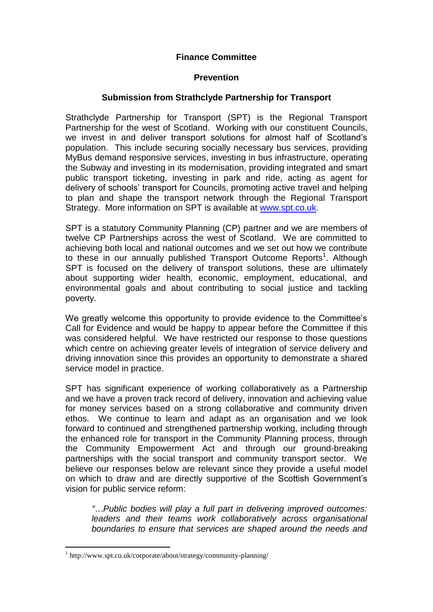# **Finance Committee**

#### **Prevention**

## **Submission from Strathclyde Partnership for Transport**

Strathclyde Partnership for Transport (SPT) is the Regional Transport Partnership for the west of Scotland. Working with our constituent Councils, we invest in and deliver transport solutions for almost half of Scotland's population. This include securing socially necessary bus services, providing MyBus demand responsive services, investing in bus infrastructure, operating the Subway and investing in its modernisation, providing integrated and smart public transport ticketing, investing in park and ride, acting as agent for delivery of schools' transport for Councils, promoting active travel and helping to plan and shape the transport network through the Regional Transport Strategy. More information on SPT is available at [www.spt.co.uk.](http://www.spt.co.uk/)

SPT is a statutory Community Planning (CP) partner and we are members of twelve CP Partnerships across the west of Scotland. We are committed to achieving both local and national outcomes and we set out how we contribute to these in our annually published Transport Outcome Reports<sup>1</sup>. Although SPT is focused on the delivery of transport solutions, these are ultimately about supporting wider health, economic, employment, educational, and environmental goals and about contributing to social justice and tackling poverty.

We greatly welcome this opportunity to provide evidence to the Committee's Call for Evidence and would be happy to appear before the Committee if this was considered helpful. We have restricted our response to those questions which centre on achieving greater levels of integration of service delivery and driving innovation since this provides an opportunity to demonstrate a shared service model in practice.

SPT has significant experience of working collaboratively as a Partnership and we have a proven track record of delivery, innovation and achieving value for money services based on a strong collaborative and community driven ethos. We continue to learn and adapt as an organisation and we look forward to continued and strengthened partnership working, including through the enhanced role for transport in the Community Planning process, through the Community Empowerment Act and through our ground-breaking partnerships with the social transport and community transport sector. We believe our responses below are relevant since they provide a useful model on which to draw and are directly supportive of the Scottish Government's vision for public service reform:

*"…Public bodies will play a full part in delivering improved outcomes: leaders and their teams work collaboratively across organisational boundaries to ensure that services are shaped around the needs and* 

1

<sup>1</sup> http://www.spt.co.uk/corporate/about/strategy/community-planning/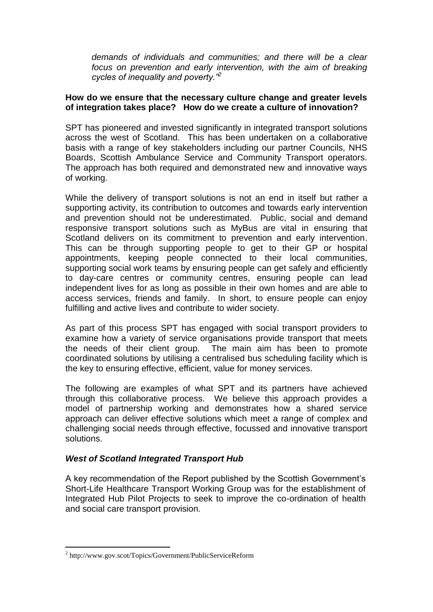*demands of individuals and communities; and there will be a clear*  focus on prevention and early intervention, with the aim of breaking *cycles of inequality and poverty."<sup>2</sup>* 

## **How do we ensure that the necessary culture change and greater levels of integration takes place? How do we create a culture of innovation?**

SPT has pioneered and invested significantly in integrated transport solutions across the west of Scotland. This has been undertaken on a collaborative basis with a range of key stakeholders including our partner Councils, NHS Boards, Scottish Ambulance Service and Community Transport operators. The approach has both required and demonstrated new and innovative ways of working.

While the delivery of transport solutions is not an end in itself but rather a supporting activity, its contribution to outcomes and towards early intervention and prevention should not be underestimated. Public, social and demand responsive transport solutions such as MyBus are vital in ensuring that Scotland delivers on its commitment to prevention and early intervention. This can be through supporting people to get to their GP or hospital appointments, keeping people connected to their local communities, supporting social work teams by ensuring people can get safely and efficiently to day-care centres or community centres, ensuring people can lead independent lives for as long as possible in their own homes and are able to access services, friends and family. In short, to ensure people can enjoy fulfilling and active lives and contribute to wider society.

As part of this process SPT has engaged with social transport providers to examine how a variety of service organisations provide transport that meets the needs of their client group. The main aim has been to promote coordinated solutions by utilising a centralised bus scheduling facility which is the key to ensuring effective, efficient, value for money services.

The following are examples of what SPT and its partners have achieved through this collaborative process. We believe this approach provides a model of partnership working and demonstrates how a shared service approach can deliver effective solutions which meet a range of complex and challenging social needs through effective, focussed and innovative transport solutions.

## *West of Scotland Integrated Transport Hub*

A key recommendation of the Report published by the Scottish Government's Short-Life Healthcare Transport Working Group was for the establishment of Integrated Hub Pilot Projects to seek to improve the co-ordination of health and social care transport provision.

1

<sup>&</sup>lt;sup>2</sup> http://www.gov.scot/Topics/Government/PublicServiceReform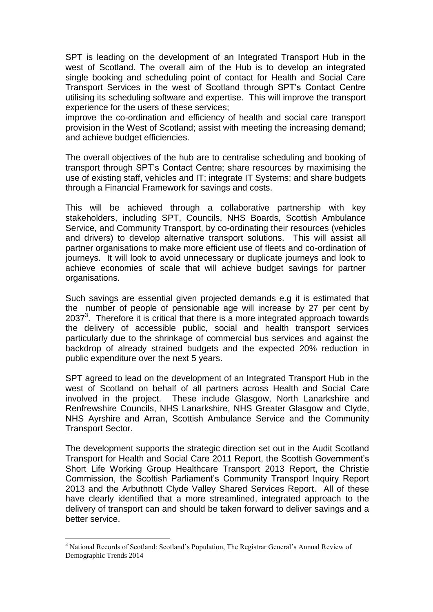SPT is leading on the development of an Integrated Transport Hub in the west of Scotland. The overall aim of the Hub is to develop an integrated single booking and scheduling point of contact for Health and Social Care Transport Services in the west of Scotland through SPT's Contact Centre utilising its scheduling software and expertise. This will improve the transport experience for the users of these services;

improve the co-ordination and efficiency of health and social care transport provision in the West of Scotland; assist with meeting the increasing demand; and achieve budget efficiencies.

The overall objectives of the hub are to centralise scheduling and booking of transport through SPT's Contact Centre; share resources by maximising the use of existing staff, vehicles and IT; integrate IT Systems; and share budgets through a Financial Framework for savings and costs.

This will be achieved through a collaborative partnership with key stakeholders, including SPT, Councils, NHS Boards, Scottish Ambulance Service, and Community Transport, by co-ordinating their resources (vehicles and drivers) to develop alternative transport solutions. This will assist all partner organisations to make more efficient use of fleets and co-ordination of journeys. It will look to avoid unnecessary or duplicate journeys and look to achieve economies of scale that will achieve budget savings for partner organisations.

Such savings are essential given projected demands e.g it is estimated that the number of people of pensionable age will increase by 27 per cent by 2037 $3$ . Therefore it is critical that there is a more integrated approach towards the delivery of accessible public, social and health transport services particularly due to the shrinkage of commercial bus services and against the backdrop of already strained budgets and the expected 20% reduction in public expenditure over the next 5 years.

SPT agreed to lead on the development of an Integrated Transport Hub in the west of Scotland on behalf of all partners across Health and Social Care involved in the project. These include Glasgow, North Lanarkshire and Renfrewshire Councils, NHS Lanarkshire, NHS Greater Glasgow and Clyde, NHS Ayrshire and Arran, Scottish Ambulance Service and the Community Transport Sector.

The development supports the strategic direction set out in the Audit Scotland Transport for Health and Social Care 2011 Report, the Scottish Government's Short Life Working Group Healthcare Transport 2013 Report, the Christie Commission, the Scottish Parliament's Community Transport Inquiry Report 2013 and the Arbuthnott Clyde Valley Shared Services Report. All of these have clearly identified that a more streamlined, integrated approach to the delivery of transport can and should be taken forward to deliver savings and a better service.

1

<sup>3</sup> National Records of Scotland: Scotland's Population, The Registrar General's Annual Review of Demographic Trends 2014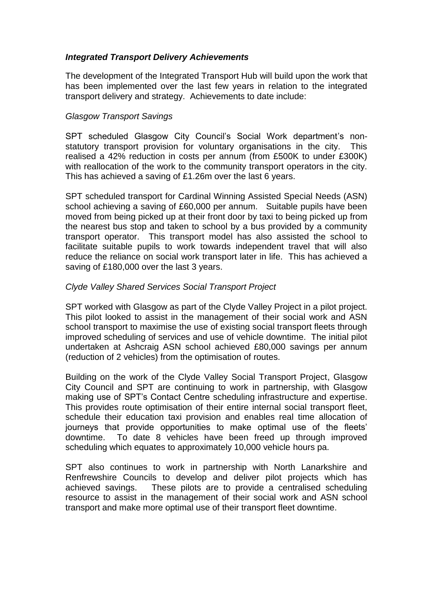## *Integrated Transport Delivery Achievements*

The development of the Integrated Transport Hub will build upon the work that has been implemented over the last few years in relation to the integrated transport delivery and strategy. Achievements to date include:

#### *Glasgow Transport Savings*

SPT scheduled Glasgow City Council's Social Work department's nonstatutory transport provision for voluntary organisations in the city. This realised a 42% reduction in costs per annum (from £500K to under £300K) with reallocation of the work to the community transport operators in the city. This has achieved a saving of £1.26m over the last 6 years.

SPT scheduled transport for Cardinal Winning Assisted Special Needs (ASN) school achieving a saving of £60,000 per annum. Suitable pupils have been moved from being picked up at their front door by taxi to being picked up from the nearest bus stop and taken to school by a bus provided by a community transport operator. This transport model has also assisted the school to facilitate suitable pupils to work towards independent travel that will also reduce the reliance on social work transport later in life. This has achieved a saving of £180,000 over the last 3 years.

#### *Clyde Valley Shared Services Social Transport Project*

SPT worked with Glasgow as part of the Clyde Valley Project in a pilot project. This pilot looked to assist in the management of their social work and ASN school transport to maximise the use of existing social transport fleets through improved scheduling of services and use of vehicle downtime. The initial pilot undertaken at Ashcraig ASN school achieved £80,000 savings per annum (reduction of 2 vehicles) from the optimisation of routes.

Building on the work of the Clyde Valley Social Transport Project, Glasgow City Council and SPT are continuing to work in partnership, with Glasgow making use of SPT's Contact Centre scheduling infrastructure and expertise. This provides route optimisation of their entire internal social transport fleet, schedule their education taxi provision and enables real time allocation of journeys that provide opportunities to make optimal use of the fleets' downtime. To date 8 vehicles have been freed up through improved scheduling which equates to approximately 10,000 vehicle hours pa.

SPT also continues to work in partnership with North Lanarkshire and Renfrewshire Councils to develop and deliver pilot projects which has achieved savings. These pilots are to provide a centralised scheduling resource to assist in the management of their social work and ASN school transport and make more optimal use of their transport fleet downtime.